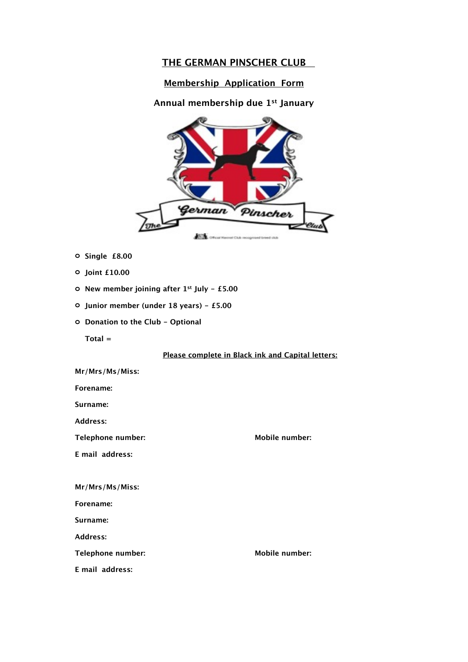# **THE GERMAN PINSCHER CLUB**

# **Membership Application Form**

# **Annual membership due 1st January**



- **o Single £8.00**
- **o Joint £10.00**
- **o New member joining after 1st July £5.00**
- **o Junior member (under 18 years) £5.00**
- **o Donation to the Club Optional**

 **Total =**

## **Please complete in Black ink and Capital letters:**

| Mr/Mrs/Ms/Miss:   |                       |
|-------------------|-----------------------|
| Forename:         |                       |
| Surname:          |                       |
| Address:          |                       |
| Telephone number: | Mobile number:        |
| E mail address:   |                       |
|                   |                       |
| Mr/Mrs/Ms/Miss:   |                       |
| Forename:         |                       |
| Surname:          |                       |
| Address:          |                       |
| Telephone number: | <b>Mobile number:</b> |
| E mail address:   |                       |